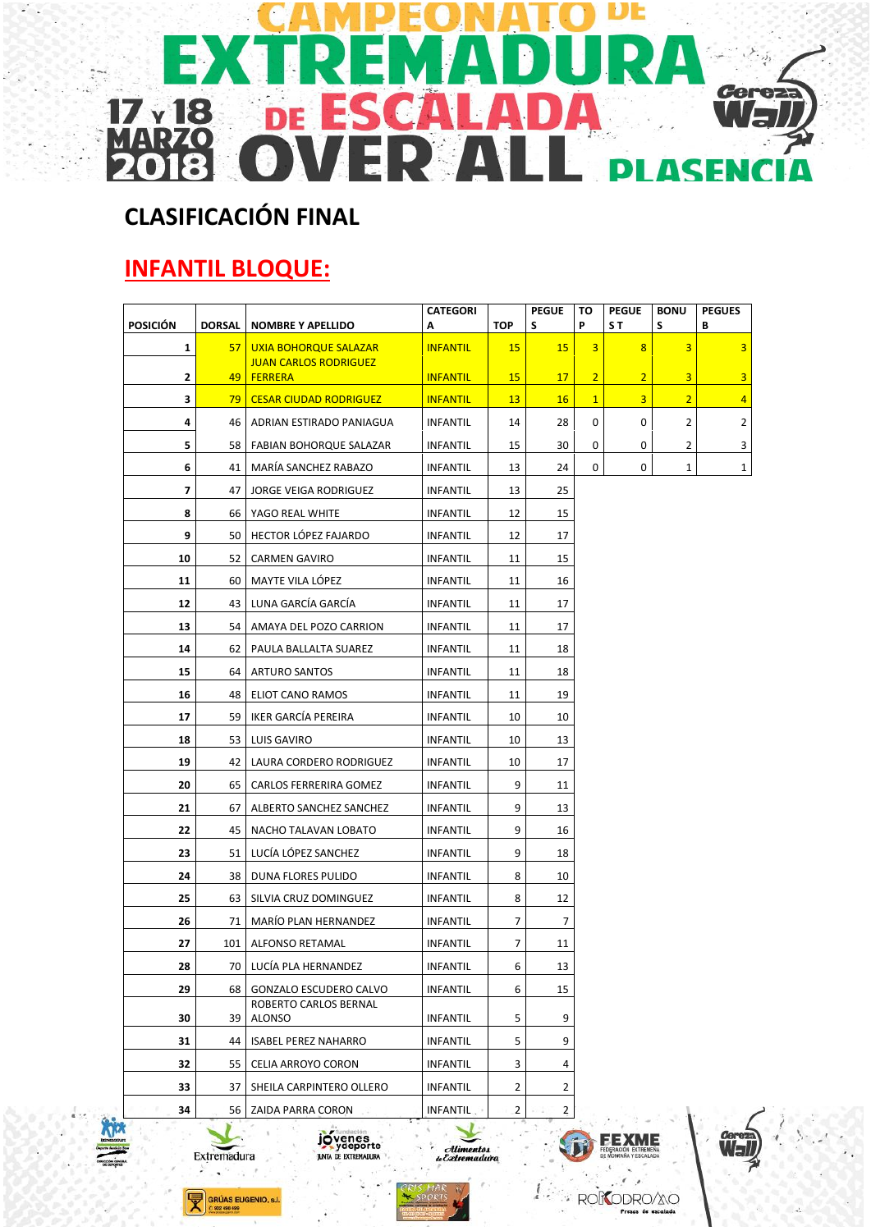

# **CLASIFICACIÓN FINAL**

# **INFANTIL BLOQUE:**

| <b>POSICIÓN</b> | <b>DORSAL</b> | <b>NOMBRE Y APELLIDO</b>                       | <b>CATEGORI</b><br>Α | TOP            | <b>PEGUE</b><br>S | то<br>P        | <b>PEGUE</b><br>S T | <b>BONU</b><br>S | <b>PEGUES</b><br>В      |
|-----------------|---------------|------------------------------------------------|----------------------|----------------|-------------------|----------------|---------------------|------------------|-------------------------|
| $\mathbf{1}$    | 57            | <b>UXIA BOHORQUE SALAZAR</b>                   | <b>INFANTIL</b>      | 15             | <b>15</b>         | 3              | 8                   | 3                | $\overline{\mathbf{3}}$ |
| $\mathbf{2}$    | 49            | <b>JUAN CARLOS RODRIGUEZ</b><br><b>FERRERA</b> | <b>INFANTIL</b>      | 15             | 17                | $\overline{2}$ | $\overline{2}$      | 3                | 3                       |
| з               | 79            | <b>CESAR CIUDAD RODRIGUEZ</b>                  | <b>INFANTIL</b>      | 13             | <b>16</b>         | $\mathbf{1}$   | $\overline{3}$      | $\overline{2}$   | $\overline{4}$          |
| 4               | 46            | ADRIAN ESTIRADO PANIAGUA                       | INFANTIL             | 14             | 28                | 0              | 0                   | $\overline{2}$   | $\overline{2}$          |
| 5               | 58            | FABIAN BOHORQUE SALAZAR                        | <b>INFANTIL</b>      | 15             | 30                | 0              | 0                   | 2                | 3                       |
| 6               | 41            | MARÍA SANCHEZ RABAZO                           | <b>INFANTIL</b>      | 13             | 24                | 0              | 0                   | 1                | $\mathbf{1}$            |
| $\overline{ }$  | 47            | <b>JORGE VEIGA RODRIGUEZ</b>                   | <b>INFANTIL</b>      | 13             | 25                |                |                     |                  |                         |
| 8               | 66            | YAGO REAL WHITE                                | INFANTIL             | 12             | 15                |                |                     |                  |                         |
| 9               | 50            | HECTOR LOPEZ FAJARDO                           | <b>INFANTIL</b>      | 12             | 17                |                |                     |                  |                         |
| 10              | 52            | <b>CARMEN GAVIRO</b>                           | <b>INFANTIL</b>      | 11             | 15                |                |                     |                  |                         |
| 11              | 60            | MAYTE VILA LÓPEZ                               | <b>INFANTIL</b>      | 11             | 16                |                |                     |                  |                         |
| 12              | 43            | LUNA GARCÍA GARCÍA                             | <b>INFANTIL</b>      | 11             | 17                |                |                     |                  |                         |
| 13              | 54            | AMAYA DEL POZO CARRION                         | <b>INFANTIL</b>      | 11             | 17                |                |                     |                  |                         |
| 14              | 62            | PAULA BALLALTA SUAREZ                          | INFANTIL             | 11             | 18                |                |                     |                  |                         |
| 15              | 64            | <b>ARTURO SANTOS</b>                           | <b>INFANTIL</b>      | 11             | 18                |                |                     |                  |                         |
| 16              | 48            | ELIOT CANO RAMOS                               | <b>INFANTIL</b>      | 11             | 19                |                |                     |                  |                         |
| 17              | 59            | IKER GARCÍA PEREIRA                            | <b>INFANTIL</b>      | 10             | 10                |                |                     |                  |                         |
| 18              | 53            | LUIS GAVIRO                                    | <b>INFANTIL</b>      | 10             | 13                |                |                     |                  |                         |
| 19              | 42            | LAURA CORDERO RODRIGUEZ                        | <b>INFANTIL</b>      | 10             | 17                |                |                     |                  |                         |
| 20              | 65            | CARLOS FERRERIRA GOMEZ                         | INFANTIL             | 9              | 11                |                |                     |                  |                         |
| 21              | 67            | ALBERTO SANCHEZ SANCHEZ                        | <b>INFANTIL</b>      | 9              | 13                |                |                     |                  |                         |
| 22              | 45            | NACHO TALAVAN LOBATO                           | <b>INFANTIL</b>      | 9              | 16                |                |                     |                  |                         |
| 23              | 51            | LUCÍA LÓPEZ SANCHEZ                            | INFANTIL             | 9              | 18                |                |                     |                  |                         |
| 24              | 38            | DUNA FLORES PULIDO                             | <b>INFANTIL</b>      | 8              | 10                |                |                     |                  |                         |
| 25              | 63            | SILVIA CRUZ DOMINGUEZ                          | <b>INFANTIL</b>      | 8              | 12                |                |                     |                  |                         |
| 26              | 71            | <b>MARIO PLAN HERNANDEZ</b>                    | <b>INFANTIL</b>      | 7              | 7                 |                |                     |                  |                         |
| 27              | 101           | ALFONSO RETAMAL                                | <b>INFANTIL</b>      | 7              | 11                |                |                     |                  |                         |
| 28              | 70            | LUCÍA PLA HERNANDEZ                            | <b>INFANTIL</b>      | 6              | 13                |                |                     |                  |                         |
| 29              | 68            | GONZALO ESCUDERO CALVO                         | <b>INFANTIL</b>      | 6              | 15                |                |                     |                  |                         |
| 30              | 39            | ROBERTO CARLOS BERNAL<br><b>ALONSO</b>         | <b>INFANTIL</b>      | 5              | 9                 |                |                     |                  |                         |
| 31              | 44            | <b>ISABEL PEREZ NAHARRO</b>                    | <b>INFANTIL</b>      | 5              | 9                 |                |                     |                  |                         |
| 32              | 55            | CELIA ARROYO CORON                             | <b>INFANTIL</b>      | 3              | 4                 |                |                     |                  |                         |
| 33              | 37            | SHEILA CARPINTERO OLLERO                       | INFANTIL             | 2              | $\overline{2}$    |                |                     |                  |                         |
| 34              | 56            | ZAIDA PARRA CORON                              | INFANTIL.            | $\overline{2}$ | $\overline{2}$    |                |                     |                  |                         |

 $\ddot{\phantom{a}}$ GRÚAS EUGENIO, s.l. 902 498 499

Extremadura



Alimentos<br>Extremadura



ROKODROZ

**FEXME** 

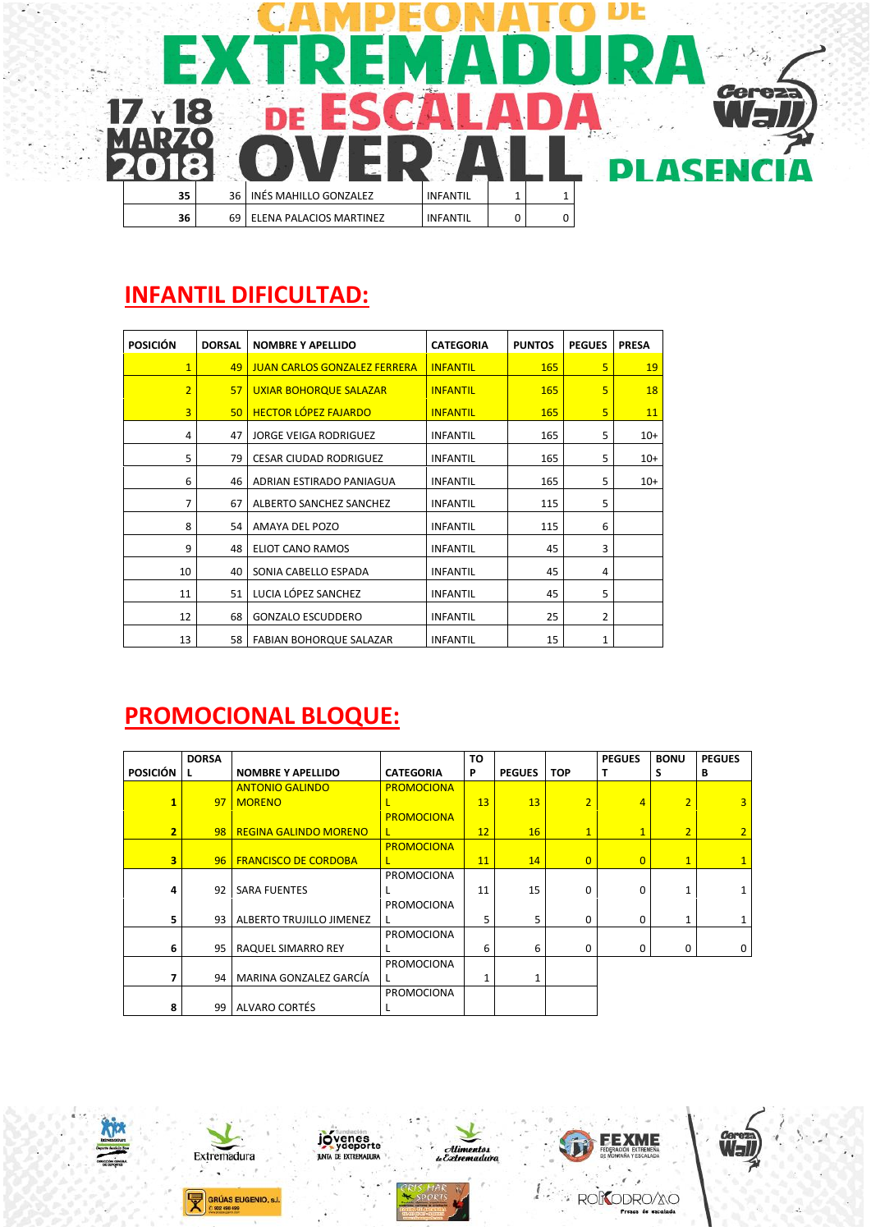

#### **INFANTIL DIFICULTAD:**

| <b>POSICIÓN</b> | <b>DORSAL</b> | <b>NOMBRE Y APELLIDO</b>            | <b>CATEGORIA</b> | <b>PUNTOS</b> | <b>PEGUES</b> | <b>PRESA</b> |
|-----------------|---------------|-------------------------------------|------------------|---------------|---------------|--------------|
| $\overline{1}$  | 49            | <b>JUAN CARLOS GONZALEZ FERRERA</b> | <b>INFANTIL</b>  | 165           | 5             | 19           |
| $\overline{2}$  | 57            | UXIAR BOHORQUE SALAZAR              | <b>INFANTIL</b>  | 165           | 5             | <b>18</b>    |
| 3               | 50            | <b>HECTOR LÓPEZ FAJARDO</b>         | <b>INFANTIL</b>  | 165           | 5             | 11           |
| 4               | 47            | <b>JORGE VEIGA RODRIGUEZ</b>        | <b>INFANTIL</b>  | 165           | 5             | $10+$        |
| 5               | 79            | <b>CESAR CIUDAD RODRIGUEZ</b>       | <b>INFANTIL</b>  | 165           | 5             | $10+$        |
| 6               | 46            | ADRIAN ESTIRADO PANIAGUA            | <b>INFANTIL</b>  | 165           | 5             | $10+$        |
| 7               | 67            | ALBERTO SANCHEZ SANCHEZ             | <b>INFANTIL</b>  | 115           | 5             |              |
| 8               | 54            | AMAYA DEL POZO                      | <b>INFANTIL</b>  | 115           | 6             |              |
| 9               | 48            | ELIOT CANO RAMOS                    | <b>INFANTIL</b>  | 45            | 3             |              |
| 10              | 40            | SONIA CABELLO ESPADA                | <b>INFANTIL</b>  | 45            | 4             |              |
| 11              | 51            | LUCIA LÓPEZ SANCHEZ                 | <b>INFANTIL</b>  | 45            | 5             |              |
| 12              | 68            | <b>GONZALO ESCUDDERO</b>            | <b>INFANTIL</b>  | 25            | 2             |              |
| 13              | 58            | FABIAN BOHORQUE SALAZAR             | <b>INFANTIL</b>  | 15            | 1             |              |

## **PROMOCIONAL BLOQUE:**

|                 | <b>DORSA</b> |                                 |                   | TO |               |                | <b>PEGUES</b>  | <b>BONU</b>    | <b>PEGUES</b>  |
|-----------------|--------------|---------------------------------|-------------------|----|---------------|----------------|----------------|----------------|----------------|
| <b>POSICIÓN</b> | L.           | <b>NOMBRE Y APELLIDO</b>        | <b>CATEGORIA</b>  | P  | <b>PEGUES</b> | <b>TOP</b>     | т              | s              | B              |
|                 |              | <b>ANTONIO GALINDO</b>          | <b>PROMOCIONA</b> |    |               |                |                |                |                |
| $\mathbf{1}$    |              | 97   MORENO                     | L                 | 13 | 13            | $\overline{2}$ | 4              | $\overline{2}$ | $\overline{3}$ |
|                 |              |                                 | <b>PROMOCIONA</b> |    |               |                |                |                |                |
| 2 <sup>1</sup>  |              | 98   REGINA GALINDO MORENO      | $\mathsf{L}$      | 12 | 16            | $\overline{1}$ | $\mathbf{1}$   | $\overline{2}$ | $\overline{2}$ |
|                 |              |                                 | <b>PROMOCIONA</b> |    |               |                |                |                |                |
| $\overline{3}$  |              | 96   FRANCISCO DE CORDOBA       | L                 | 11 | 14            | $\overline{0}$ | $\overline{0}$ | $\mathbf{1}$   | $\mathbf{1}$   |
|                 |              |                                 | <b>PROMOCIONA</b> |    |               |                |                |                |                |
| 4               | 92           | <b>SARA FUENTES</b>             |                   | 11 | 15            | $\mathbf 0$    | 0              |                |                |
|                 |              |                                 | PROMOCIONA        |    |               |                |                |                |                |
| 5               | 93           | <b>ALBERTO TRUJILLO JIMENEZ</b> | $\mathbf{I}$      | 5  | 5             | $\Omega$       | 0              |                |                |
|                 |              |                                 | <b>PROMOCIONA</b> |    |               |                |                |                |                |
| 6               | 95           | RAQUEL SIMARRO REY              |                   | 6  | 6             | 0              | 0              | 0              | 0              |
|                 |              |                                 | PROMOCIONA        |    |               |                |                |                |                |
| 7               | 94           | MARINA GONZALEZ GARCÍA          |                   | 1  | 1             |                |                |                |                |
|                 |              |                                 | <b>PROMOCIONA</b> |    |               |                |                |                |                |
| 8               | 99           | ALVARO CORTÉS                   |                   |    |               |                |                |                |                |









iye ji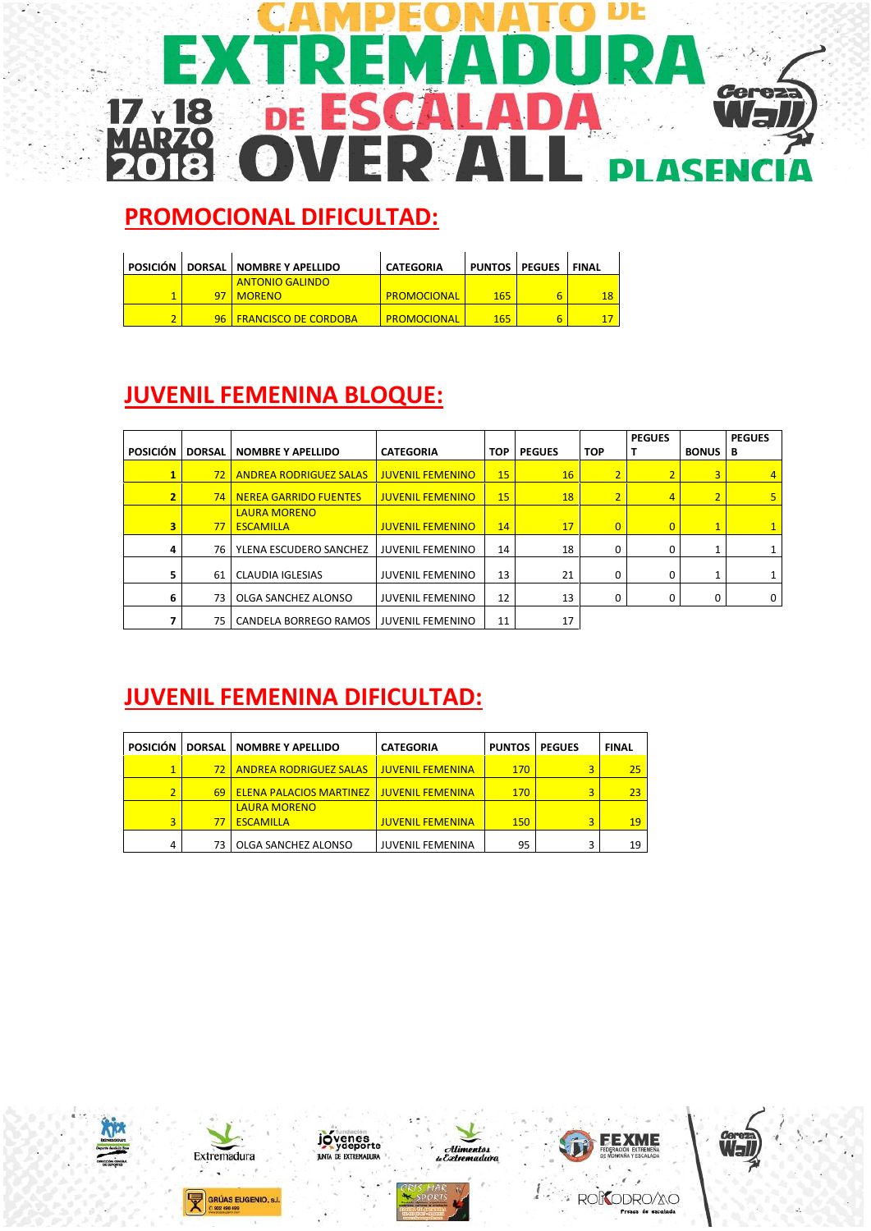#### DE **Cerez**  $17<sub>y</sub>$ 18  $\overline{\mathbf{I}}$ Ď Ė  $\blacktriangle$ **DI ASENCI**

# **PROMOCIONAL DIFICULTAD:**

| POSICIÓN L |    | DORSAL NOMBRE Y APELLIDO    | <b>CATEGORIA</b> |     | PUNTOS   PEGUES   FINAL |    |
|------------|----|-----------------------------|------------------|-----|-------------------------|----|
|            |    | <b>ANTONIO GALINDO</b>      |                  |     |                         |    |
|            |    | <b>MORENO</b>               | PROMOCIONAL      | 165 | 6                       | 18 |
|            | 96 | <b>FRANCISCO DE CORDOBA</b> | PROMOCIONAL      | 165 | 6                       |    |

# **JUVENIL FEMENINA BLOQUE:**

| <b>POSICIÓN</b> | <b>DORSAL</b>   | <b>NOMBRE Y APELLIDO</b>                | <b>CATEGORIA</b>        | <b>TOP</b> | <b>PEGUES</b> | <b>TOP</b>     | <b>PEGUES</b><br>т | <b>BONUS</b>   | <b>PEGUES</b><br>В |
|-----------------|-----------------|-----------------------------------------|-------------------------|------------|---------------|----------------|--------------------|----------------|--------------------|
|                 | 72 <sup>2</sup> | <b>ANDREA RODRIGUEZ SALAS</b>           | <b>JUVENIL FEMENINO</b> | 15         | 16            | $\overline{2}$ | $\overline{2}$     | 3              | 4                  |
| $\overline{2}$  |                 | <b>74   NEREA GARRIDO FUENTES</b>       | <b>JUVENIL FEMENINO</b> | 15         | 18            | $\overline{2}$ | $\overline{4}$     | $\overline{2}$ |                    |
| 3               | 77              | <b>LAURA MORENO</b><br><b>ESCAMILLA</b> | <b>JUVENIL FEMENINO</b> | 14         | 17            | $\overline{0}$ | $\overline{0}$     | $\mathbf{1}$   |                    |
|                 | 76              | YLENA ESCUDERO SANCHEZ                  | <b>JUVENIL FEMENINO</b> | 14         | 18            | 0              | 0                  |                |                    |
|                 | 61              | <b>CLAUDIA IGLESIAS</b>                 | <b>JUVENIL FEMENINO</b> | 13         | 21            | 0              | 0                  |                |                    |
| 6               | 73              | OLGA SANCHEZ ALONSO                     | <b>JUVENIL FEMENINO</b> | 12         | 13            | 0              | 0                  | $\Omega$       | 0                  |
|                 | 75              | CANDELA BORREGO RAMOS                   | <b>JUVENIL FEMENINO</b> | 11         | 17            |                |                    |                |                    |

# **JUVENIL FEMENINA DIFICULTAD:**

| <b>POSICIÓN</b> |              | <b>DORSAL   NOMBRE Y APELLIDO</b> | <b>CATEGORIA</b>        | <b>PUNTOS</b> | <b>PEGUES</b> | <b>FINAL</b> |
|-----------------|--------------|-----------------------------------|-------------------------|---------------|---------------|--------------|
| $\mathbf{1}$    | $72^{\circ}$ | <b>ANDREA RODRIGUEZ SALAS</b>     | <b>JUVENIL FEMENINA</b> | 170           |               | 25           |
| 2               | 69           | <b>ELENA PALACIOS MARTINEZ</b>    | <b>JUVENIL FEMENINA</b> | 170           |               | 23           |
|                 |              | <b>LAURA MORENO</b>               |                         |               |               |              |
| 3               | 77           | <b>ESCAMILLA</b>                  | <b>JUVENIL FEMENINA</b> | 150           | 3             | 19           |
| 4               | 73           | OLGA SANCHEZ ALONSO               | <b>JUVENIL FEMENINA</b> | 95            |               | 19           |









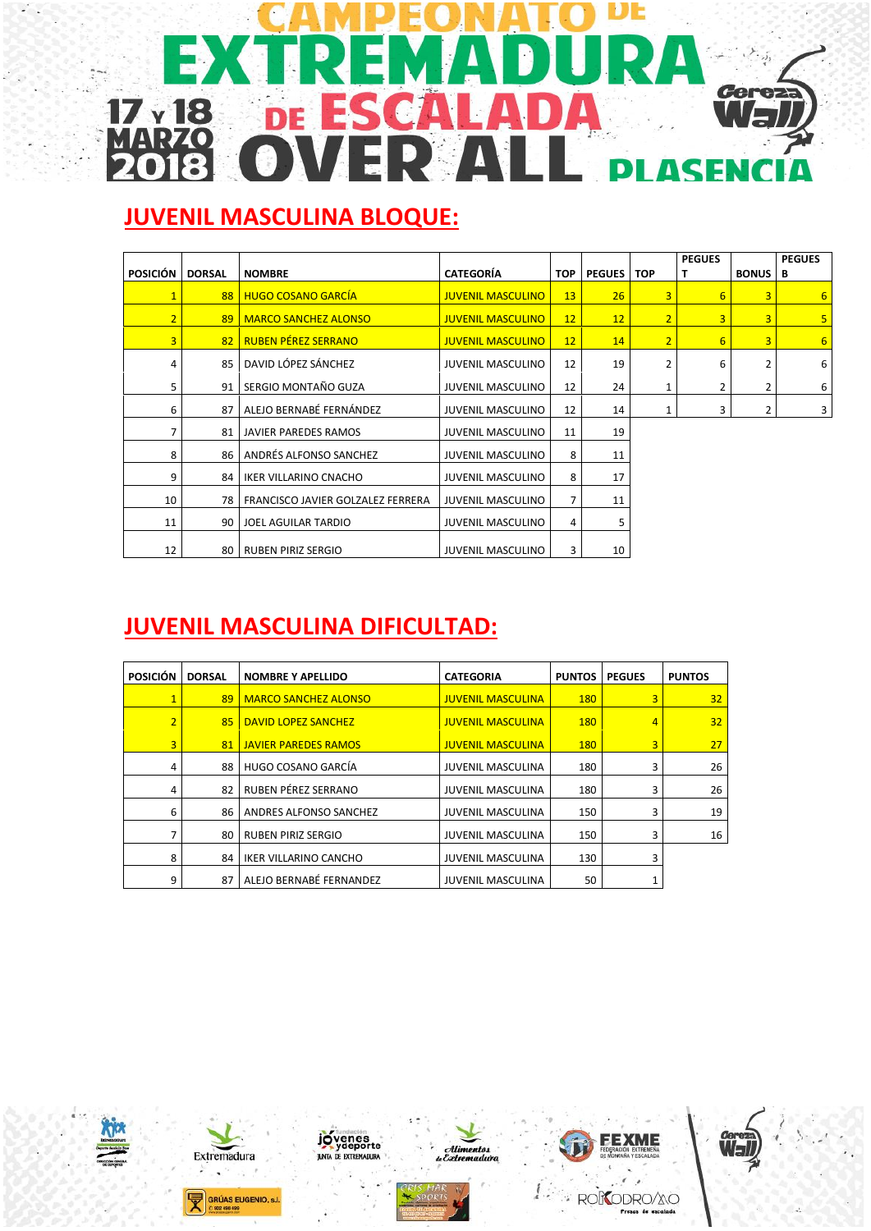#### DЕ E **Cerez**  $17<sub>y</sub>18$  $\blacktriangle$ 'n Ė **ASENCI** DI Λ

# **JUVENIL MASCULINA BLOQUE:**

| <b>POSICIÓN</b> | <b>DORSAL</b> | <b>NOMBRE</b>                     | <b>CATEGORÍA</b>         | <b>TOP</b>     | <b>PEGUES   TOP</b> |                | <b>PEGUES</b><br>Т | <b>BONUS</b> | <b>PEGUES</b><br>в |
|-----------------|---------------|-----------------------------------|--------------------------|----------------|---------------------|----------------|--------------------|--------------|--------------------|
|                 | 88            | <b>HUGO COSANO GARCÍA</b>         | <b>JUVENIL MASCULINO</b> | 13             | 26                  | 3              | 6                  | 3            | $6 \overline{6}$   |
| $\overline{2}$  | 89            | <b>MARCO SANCHEZ ALONSO</b>       | <b>JUVENIL MASCULINO</b> | 12             | 12                  | $\overline{2}$ | 3                  | 3            | 5 <sub>5</sub>     |
| 3               | 82            | <b>RUBEN PÉREZ SERRANO</b>        | <b>JUVENIL MASCULINO</b> | 12             | 14                  | $\overline{2}$ | 6                  | 3            | $6\overline{6}$    |
| 4               | 85            | DAVID LÓPEZ SÁNCHEZ               | <b>JUVENIL MASCULINO</b> | 12             | 19                  | 2              | 6                  | 2            | 6                  |
| 5               | 91            | SERGIO MONTAÑO GUZA               | <b>JUVENIL MASCULINO</b> | 12             | 24                  | 1              | 2                  | 2            | 6                  |
| 6               | 87            | ALEJO BERNABÉ FERNÁNDEZ           | <b>JUVENIL MASCULINO</b> | 12             | 14                  | 1              | 3                  | 2            | 3                  |
| $\overline{7}$  | 81            | JAVIER PAREDES RAMOS              | <b>JUVENIL MASCULINO</b> | 11             | 19                  |                |                    |              |                    |
| 8               | 86            | ANDRÉS ALFONSO SANCHEZ            | <b>JUVENIL MASCULINO</b> | 8              | 11                  |                |                    |              |                    |
| 9               | 84            | IKER VILLARINO CNACHO             | <b>JUVENIL MASCULINO</b> | 8              | 17                  |                |                    |              |                    |
| 10              | 78            | FRANCISCO JAVIER GOLZALEZ FERRERA | <b>JUVENIL MASCULINO</b> | $\overline{7}$ | 11                  |                |                    |              |                    |
| 11              | 90            | JOEL AGUILAR TARDIO               | <b>JUVENIL MASCULINO</b> | 4              | 5                   |                |                    |              |                    |
| 12              | 80            | <b>RUBEN PIRIZ SERGIO</b>         | <b>JUVENIL MASCULINO</b> | 3              | 10                  |                |                    |              |                    |

# **JUVENIL MASCULINA DIFICULTAD:**

| <b>POSICIÓN</b> | <b>DORSAL</b> | <b>NOMBRE Y APELLIDO</b>     | <b>CATEGORIA</b>         | <b>PUNTOS</b> | <b>PEGUES</b>  | <b>PUNTOS</b>   |
|-----------------|---------------|------------------------------|--------------------------|---------------|----------------|-----------------|
| $\mathbf{1}$    | 89            | <b>MARCO SANCHEZ ALONSO</b>  | <b>JUVENIL MASCULINA</b> | <b>180</b>    | 3              | 32 <sub>2</sub> |
| $\overline{2}$  | 85            | DAVID LOPEZ SANCHEZ          | <b>JUVENIL MASCULINA</b> | 180           | $\overline{4}$ | 32              |
| 3               | 81            | <b>JAVIER PAREDES RAMOS</b>  | <b>JUVENIL MASCULINA</b> | <b>180</b>    | $\overline{3}$ | 27              |
| 4               | 88            | HUGO COSANO GARCÍA           | <b>JUVENIL MASCULINA</b> | 180           | 3              | 26              |
| 4               | 82            | RUBEN PÉREZ SERRANO          | <b>JUVENIL MASCULINA</b> | 180           | 3              | 26              |
| 6               | 86            | ANDRES ALFONSO SANCHEZ       | <b>JUVENIL MASCULINA</b> | 150           | 3              | 19              |
| 7               | 80            | <b>RUBEN PIRIZ SERGIO</b>    | <b>JUVENIL MASCULINA</b> | 150           | 3              | 16              |
| 8               | 84            | <b>IKER VILLARINO CANCHO</b> | <b>JUVENIL MASCULINA</b> | 130           | 3              |                 |
| 9               | 87            | ALEJO BERNABÉ FERNANDEZ      | <b>JUVENIL MASCULINA</b> | 50            |                |                 |









ïĤ,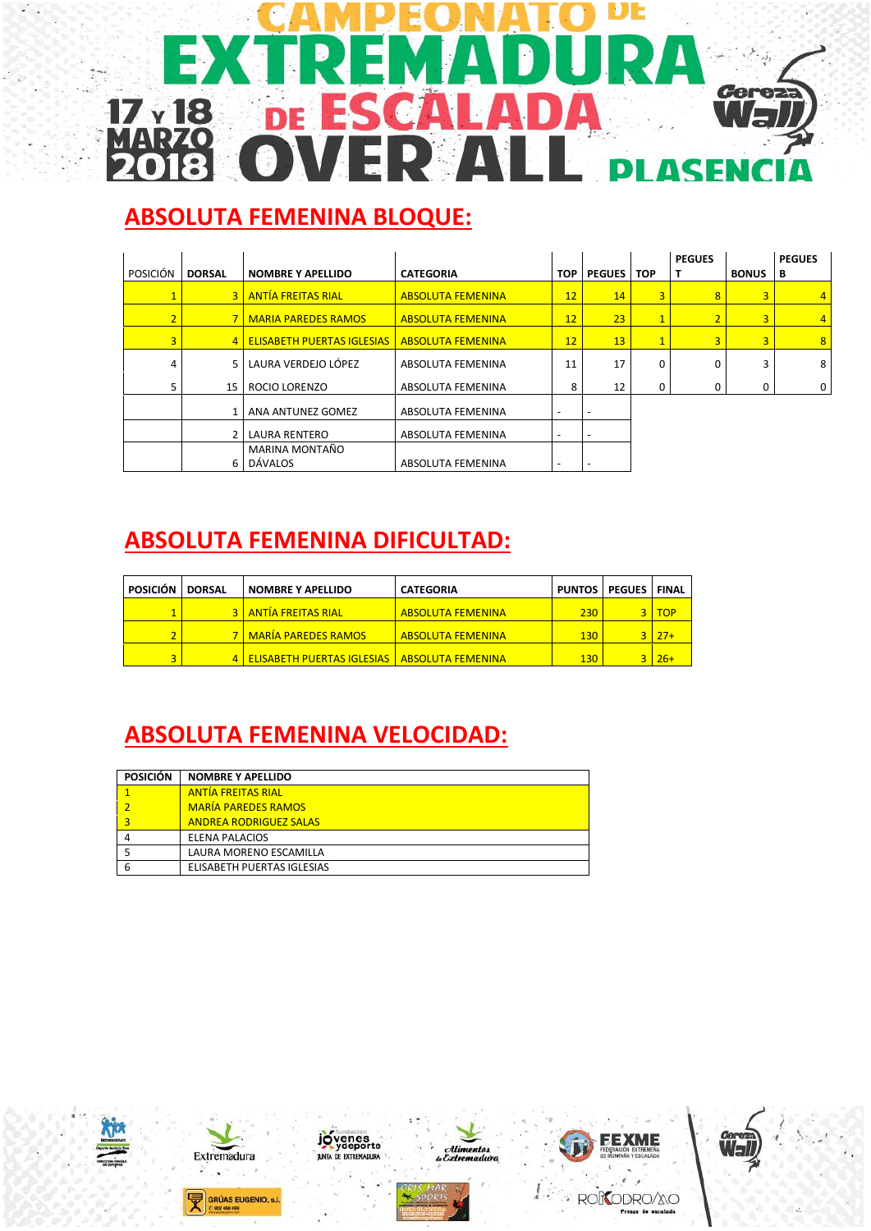#### DE **Cerez**  $17<sub>y</sub>$  18  $\blacktriangle$ ĥ Ė **PLASENCI**

## **ABSOLUTA FEMENINA BLOQUE:**

|                 |                |                                   |                          |                          |               |                | <b>PEGUES</b> |                | <b>PEGUES</b>  |
|-----------------|----------------|-----------------------------------|--------------------------|--------------------------|---------------|----------------|---------------|----------------|----------------|
| <b>POSICIÓN</b> | <b>DORSAL</b>  | <b>NOMBRE Y APELLIDO</b>          | <b>CATEGORIA</b>         | <b>TOP</b>               | <b>PEGUES</b> | <b>TOP</b>     | т             | <b>BONUS</b>   | B              |
|                 | 3 <sup>1</sup> | <b>ANTÍA FREITAS RIAL</b>         | <b>ABSOLUTA FEMENINA</b> | 12                       | 14            | $\overline{3}$ | 8             | $\overline{3}$ | $\overline{4}$ |
| $\overline{2}$  |                | <b>MARIA PAREDES RAMOS</b>        | <b>ABSOLUTA FEMENINA</b> | 12                       | 23            | $\mathbf{1}$   | 2             | $\overline{3}$ | $\overline{4}$ |
| 3               | 4 <sup>1</sup> | <b>ELISABETH PUERTAS IGLESIAS</b> | <b>ABSOLUTA FEMENINA</b> | 12                       | 13            | $\mathbf{1}$   | 3             | $\overline{3}$ | 8 <sup>°</sup> |
| 4               | 5 <sup>1</sup> | LAURA VERDEJO LÓPEZ               | <b>ABSOLUTA FEMENINA</b> | 11                       | 17            | 0              |               | 3              | 8              |
|                 | 15             | <b>ROCIO LORENZO</b>              | <b>ABSOLUTA FEMENINA</b> | 8                        | 12            | 0              |               | 0              | 0              |
|                 |                | ANA ANTUNEZ GOMEZ                 | <b>ABSOLUTA FEMENINA</b> | -                        | -             |                |               |                |                |
|                 |                | <b>LAURA RENTERO</b>              | ABSOLUTA FEMENINA        | $\overline{\phantom{0}}$ | -             |                |               |                |                |
|                 |                | MARINA MONTAÑO                    |                          |                          |               |                |               |                |                |
|                 | 6 I            | DÁVALOS                           | ABSOLUTA FEMENINA        | -                        |               |                |               |                |                |

## **ABSOLUTA FEMENINA DIFICULTAD:**

| <b>POSICIÓN</b> | <b>DORSAL</b> | <b>NOMBRE Y APELLIDO</b>                              | <b>CATEGORIA</b>         | <b>PUNTOS   PEGUES  </b> |    | <b>FINAL</b> |
|-----------------|---------------|-------------------------------------------------------|--------------------------|--------------------------|----|--------------|
|                 |               | <b>3   ANTÍA FREITAS RIAL</b>                         | <b>ABSOLUTA FEMENINA</b> | $230-$                   | 21 | <b>TOP</b>   |
|                 |               | <b>7   MARÍA PAREDES RAMOS</b>                        | <b>ABSOLUTA FEMENINA</b> | 130 <sub>1</sub>         |    | $3 \mid 27+$ |
|                 |               | <b>ELISABETH PUERTAS IGLESIAS   ABSOLUTA FEMENINA</b> |                          | 130 <sub>1</sub>         |    | $3 \mid 26+$ |

# **ABSOLUTA FEMENINA VELOCIDAD:**

| POSICIÓN | <b>NOMBRE Y APELLIDO</b>      |
|----------|-------------------------------|
|          | <b>ANTÍA FREITAS RIAL</b>     |
|          | <b>MARÍA PAREDES RAMOS</b>    |
| 3        | <b>ANDREA RODRIGUEZ SALAS</b> |
| 4        | ELENA PALACIOS                |
|          | LAURA MORENO ESCAMILLA        |
| 6        | ELISABETH PUERTAS IGLESIAS    |









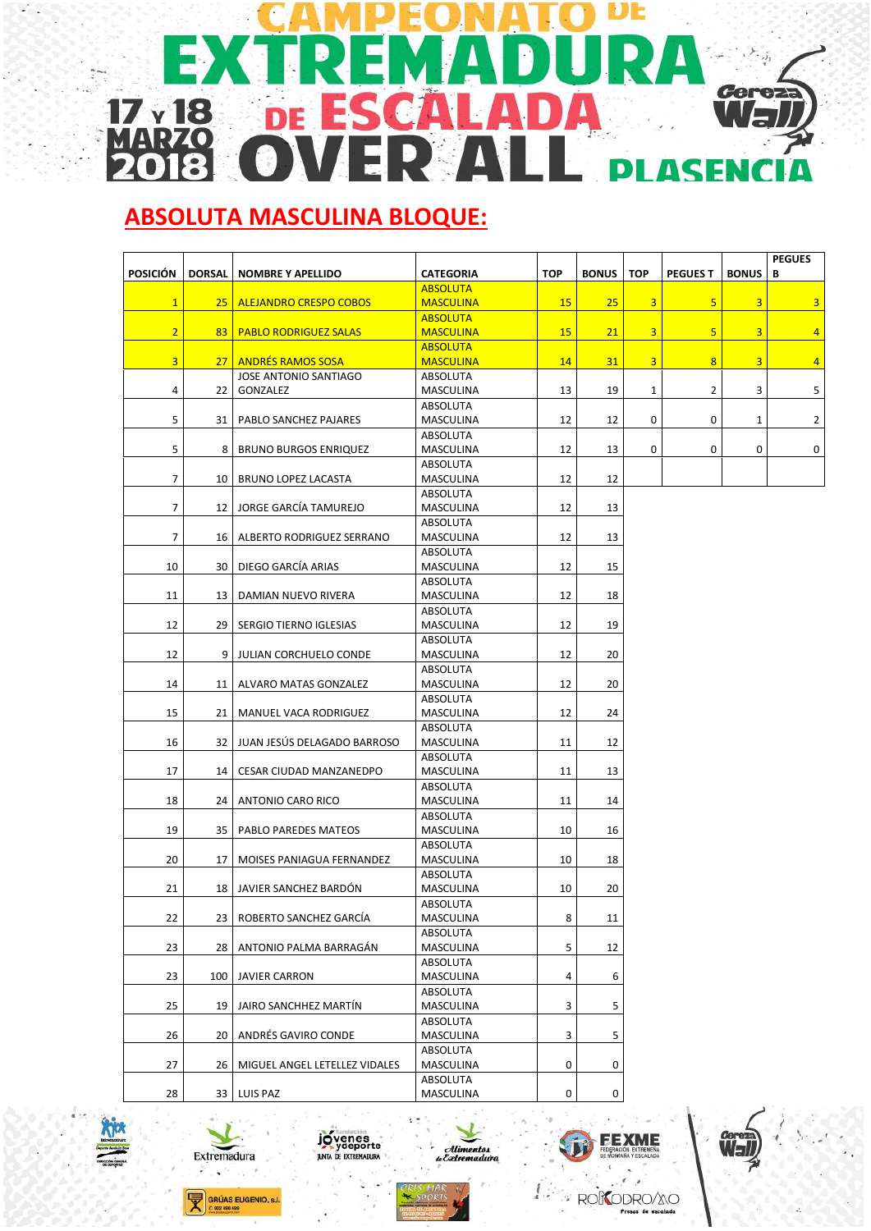#### DE j. **Cerez**  $17<sub>y</sub>18$  $\blacktriangle$  $\overline{U}$ n Ė ÷ RZ M  $\overline{a}$ **ASENCI** DI л

## **ABSOLUTA MASCULINA BLOQUE:**

| <b>POSICIÓN</b> | <b>DORSAL</b>   | <b>NOMBRE Y APELLIDO</b>          | <b>CATEGORIA</b>      | <b>TOP</b> | <b>BONUS</b>        | <b>TOP</b>   | <b>PEGUES T</b>         | <b>BONUS</b> | <b>PEGUES</b><br>В |
|-----------------|-----------------|-----------------------------------|-----------------------|------------|---------------------|--------------|-------------------------|--------------|--------------------|
|                 |                 |                                   |                       |            |                     |              |                         |              |                    |
|                 |                 |                                   | <b>ABSOLUTA</b>       |            |                     |              |                         |              |                    |
| $\mathbf{1}$    | 25 <sub>2</sub> | <b>ALEJANDRO CRESPO COBOS</b>     | <b>MASCULINA</b>      | 15         | 25                  | 3            | 5                       | 3            | 3                  |
|                 |                 |                                   | <b>ABSOLUTA</b>       |            |                     |              |                         |              |                    |
| $\overline{2}$  |                 | <b>83   PABLO RODRIGUEZ SALAS</b> | <b>MASCULINA</b>      | 15         | 21                  | 3            | 5                       | 3            | $\overline{4}$     |
|                 |                 |                                   | <b>ABSOLUTA</b>       |            |                     |              |                         |              |                    |
| $\overline{3}$  |                 | 27 ANDRÉS RAMOS SOSA              | <b>MASCULINA</b>      | 14         | 31                  | 3            | $\overline{\mathbf{8}}$ | 3            | $\overline{4}$     |
|                 |                 | JOSE ANTONIO SANTIAGO             | ABSOLUTA              |            |                     |              |                         |              |                    |
| 4               | 22              | GONZALEZ                          | MASCULINA             | 13         | 19                  | $\mathbf{1}$ | 2                       | 3            | 5                  |
|                 |                 |                                   | ABSOLUTA              |            |                     |              |                         |              |                    |
| 5               | 31              | PABLO SANCHEZ PAJARES             | MASCULINA             | 12         | 12                  | 0            | 0                       | 1            | $\overline{2}$     |
| 5               | 8               |                                   | ABSOLUTA              | 12         | 13                  | 0            | 0                       | 0            |                    |
|                 |                 | <b>BRUNO BURGOS ENRIQUEZ</b>      | MASCULINA             |            |                     |              |                         |              | 0                  |
| $\overline{7}$  |                 |                                   | ABSOLUTA              |            |                     |              |                         |              |                    |
|                 | 10              | <b>BRUNO LOPEZ LACASTA</b>        | MASCULINA             | 12         | 12                  |              |                         |              |                    |
| 7               |                 | JORGE GARCÍA TAMUREJO             | ABSOLUTA              |            |                     |              |                         |              |                    |
|                 | 12              |                                   | MASCULINA             | 12         | 13                  |              |                         |              |                    |
| $\overline{7}$  |                 | ALBERTO RODRIGUEZ SERRANO         | ABSOLUTA              |            |                     |              |                         |              |                    |
|                 | 16              |                                   | MASCULINA<br>ABSOLUTA | 12         | 13                  |              |                         |              |                    |
| 10              | 30              | DIEGO GARCÍA ARIAS                |                       | 12         | 15                  |              |                         |              |                    |
|                 |                 |                                   | MASCULINA             |            |                     |              |                         |              |                    |
| 11              |                 |                                   | ABSOLUTA              | 12         |                     |              |                         |              |                    |
|                 | 13              | DAMIAN NUEVO RIVERA               | MASCULINA             |            | 18                  |              |                         |              |                    |
| 12              | 29              |                                   | ABSOLUTA              | 12         |                     |              |                         |              |                    |
|                 |                 | SERGIO TIERNO IGLESIAS            | MASCULINA<br>ABSOLUTA |            | 19                  |              |                         |              |                    |
| 12              | 9               | JULIAN CORCHUELO CONDE            | MASCULINA             | 12         | 20                  |              |                         |              |                    |
|                 |                 |                                   | ABSOLUTA              |            |                     |              |                         |              |                    |
| 14              | 11              | ALVARO MATAS GONZALEZ             | MASCULINA             | 12         | 20                  |              |                         |              |                    |
|                 |                 |                                   | ABSOLUTA              |            |                     |              |                         |              |                    |
| 15              | 21              | MANUEL VACA RODRIGUEZ             | MASCULINA             | 12         | 24                  |              |                         |              |                    |
|                 |                 |                                   | ABSOLUTA              |            |                     |              |                         |              |                    |
| 16              | 32              | JUAN JESÚS DELAGADO BARROSO       | MASCULINA             | 11         | 12                  |              |                         |              |                    |
|                 |                 |                                   | ABSOLUTA              |            |                     |              |                         |              |                    |
| 17              | 14              | CESAR CIUDAD MANZANEDPO           | MASCULINA             | 11         | 13                  |              |                         |              |                    |
|                 |                 |                                   | ABSOLUTA              |            |                     |              |                         |              |                    |
| 18              | 24              | ANTONIO CARO RICO                 | MASCULINA             | 11         | 14                  |              |                         |              |                    |
|                 |                 |                                   | ABSOLUTA              |            |                     |              |                         |              |                    |
| 19              | 35              | PABLO PAREDES MATEOS              | MASCULINA             | 10         | 16                  |              |                         |              |                    |
|                 |                 |                                   | ABSOLUTA              |            |                     |              |                         |              |                    |
| 20              | 17              | MOISES PANIAGUA FERNANDEZ         | MASCULINA             | 10         | 18                  |              |                         |              |                    |
|                 |                 |                                   | ABSOLUTA              |            |                     |              |                         |              |                    |
| 21              | 18              | JAVIER SANCHEZ BARDÓN             | MASCULINA             | 10         | 20                  |              |                         |              |                    |
|                 |                 |                                   | <b>ABSOLUTA</b>       |            |                     |              |                         |              |                    |
| 22              | 23              | ROBERTO SANCHEZ GARCÍA            | MASCULINA             | 8          | 11                  |              |                         |              |                    |
|                 |                 |                                   | <b>ABSOLUTA</b>       |            |                     |              |                         |              |                    |
| 23              | 28              | ANTONIO PALMA BARRAGÁN            | MASCULINA             | 5          | 12                  |              |                         |              |                    |
|                 |                 |                                   | ABSOLUTA              |            |                     |              |                         |              |                    |
| 23              | 100             | <b>JAVIER CARRON</b>              | MASCULINA             | 4          | 6                   |              |                         |              |                    |
|                 |                 |                                   | ABSOLUTA              |            |                     |              |                         |              |                    |
| 25              | 19              | JAIRO SANCHHEZ MARTÍN             | MASCULINA             | 3          | 5                   |              |                         |              |                    |
|                 |                 |                                   | <b>ABSOLUTA</b>       |            |                     |              |                         |              |                    |
| 26              | 20              | ANDRÉS GAVIRO CONDE               | MASCULINA             | 3          | 5                   |              |                         |              |                    |
|                 |                 |                                   | ABSOLUTA              |            |                     |              |                         |              |                    |
| 27              | 26              | MIGUEL ANGEL LETELLEZ VIDALES     | MASCULINA             | 0          | 0                   |              |                         |              |                    |
|                 |                 |                                   | ABSOLUTA              |            |                     |              |                         |              |                    |
| 28              |                 | 33 LUIS PAZ                       | MASCULINA             | 0          | $\mathsf{O}\xspace$ |              |                         |              |                    |













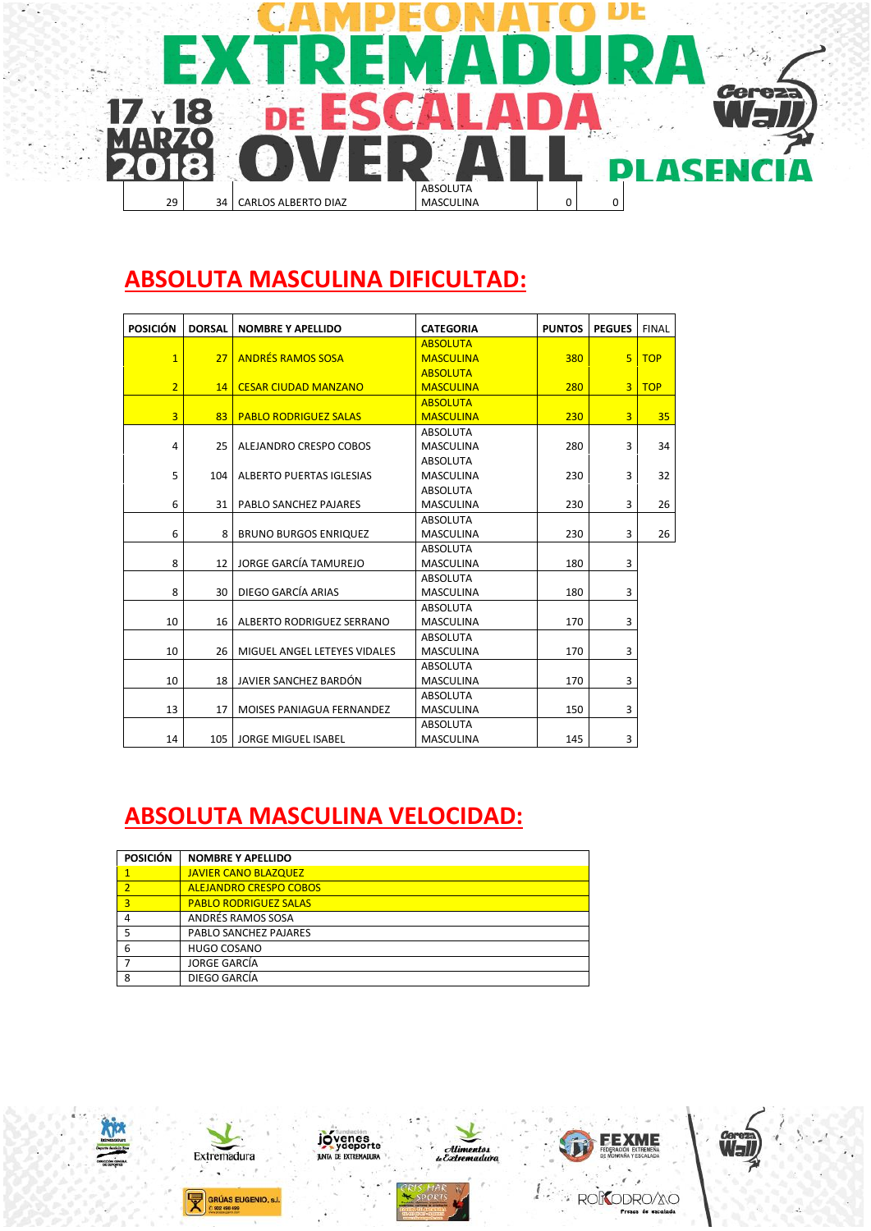

#### **ABSOLUTA MASCULINA DIFICULTAD:**

| <b>POSICIÓN</b> | <b>DORSAL</b>   | <b>NOMBRE Y APELLIDO</b>     | <b>CATEGORIA</b> | <b>PUNTOS</b> | <b>PEGUES</b>  | <b>FINAL</b> |
|-----------------|-----------------|------------------------------|------------------|---------------|----------------|--------------|
|                 |                 |                              | <b>ABSOLUTA</b>  |               |                |              |
| $\overline{1}$  | 27              | <b>ANDRÉS RAMOS SOSA</b>     | <b>MASCULINA</b> | 380           | 5 <sup>1</sup> | <b>TOP</b>   |
|                 |                 |                              | <b>ABSOLUTA</b>  |               |                |              |
| $\overline{2}$  | 14              | <b>CESAR CIUDAD MANZANO</b>  | <b>MASCULINA</b> | 280           | 3 <sup>1</sup> | <b>TOP</b>   |
|                 |                 |                              | <b>ABSOLUTA</b>  |               |                |              |
| $\overline{3}$  | 83              | <b>PABLO RODRIGUEZ SALAS</b> | <b>MASCULINA</b> | 230           | 3              | 35           |
|                 |                 |                              | <b>ABSOLUTA</b>  |               |                |              |
| $\overline{4}$  | 25              | ALEJANDRO CRESPO COBOS       | <b>MASCULINA</b> | 280           | 3              | 34           |
|                 |                 |                              | <b>ABSOLUTA</b>  |               |                |              |
| 5               | 104             | ALBERTO PUERTAS IGLESIAS     | <b>MASCULINA</b> | 230           | 3              | 32           |
|                 |                 |                              | <b>ABSOLUTA</b>  |               |                |              |
| 6               | 31              | PABLO SANCHEZ PAJARES        | <b>MASCULINA</b> | 230           | 3              | 26           |
|                 |                 |                              | <b>ABSOLUTA</b>  |               |                |              |
| 6               | 8               | <b>BRUNO BURGOS ENRIQUEZ</b> | <b>MASCULINA</b> | 230           | 3              | 26           |
|                 |                 |                              | <b>ABSOLUTA</b>  |               |                |              |
| 8               | 12              | JORGE GARCÍA TAMUREJO        | <b>MASCULINA</b> | 180           | 3              |              |
|                 |                 |                              | <b>ABSOLUTA</b>  |               |                |              |
| 8               | 30              | DIEGO GARCÍA ARIAS           | <b>MASCULINA</b> | 180           | 3              |              |
|                 |                 |                              | <b>ABSOLUTA</b>  |               |                |              |
| 10              | 16 <sup>1</sup> | ALBERTO RODRIGUEZ SERRANO    | <b>MASCULINA</b> | 170           | 3              |              |
|                 |                 |                              | <b>ABSOLUTA</b>  |               |                |              |
| 10              | 26              | MIGUEL ANGEL LETEYES VIDALES | <b>MASCULINA</b> | 170           | 3              |              |
|                 |                 |                              | <b>ABSOLUTA</b>  |               |                |              |
| 10              | 18              | JAVIER SANCHEZ BARDÓN        | <b>MASCULINA</b> | 170           | 3              |              |
|                 |                 |                              | <b>ABSOLUTA</b>  |               |                |              |
| 13              | 17              | MOISES PANIAGUA FERNANDEZ    | <b>MASCULINA</b> | 150           | 3              |              |
|                 |                 |                              | ABSOLUTA         |               |                |              |
| 14              | 105             | <b>JORGE MIGUEL ISABEL</b>   | <b>MASCULINA</b> | 145           | 3              |              |

# **ABSOLUTA MASCULINA VELOCIDAD:**

| <b>POSICIÓN</b> | <b>NOMBRE Y APELLIDO</b>      |  |  |  |
|-----------------|-------------------------------|--|--|--|
| 1               | <b>JAVIER CANO BLAZQUEZ</b>   |  |  |  |
| $\overline{2}$  | <b>ALEJANDRO CRESPO COBOS</b> |  |  |  |
| 3               | <b>PABLO RODRIGUEZ SALAS</b>  |  |  |  |
| $\overline{4}$  | ANDRÉS RAMOS SOSA             |  |  |  |
| 5               | PABLO SANCHEZ PAJARES         |  |  |  |
| -6              | <b>HUGO COSANO</b>            |  |  |  |
|                 | JORGE GARCÍA                  |  |  |  |
| 8               | DIEGO GARCÍA                  |  |  |  |
|                 |                               |  |  |  |